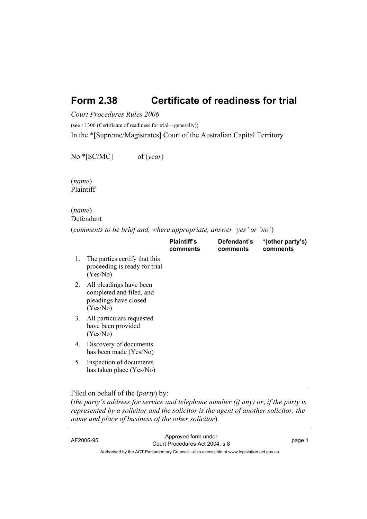# **Form 2.38 Certificate of readiness for trial**

*Court Procedures Rules 2006*

(see r 1306 (Certificate of readiness for trial—generally))

In the \*[Supreme/Magistrates] Court of the Australian Capital Territory

No \*[SC/MC] of (*year*)

(*name*) Plaintiff

### (*name*) Defendant

(*comments to be brief and, where appropriate, answer 'yes' or 'no'*)

|    |                                                                                          | <b>Plaintiff's</b><br>comments | Defendant's<br>comments | *(other party's)<br>comments |
|----|------------------------------------------------------------------------------------------|--------------------------------|-------------------------|------------------------------|
| 1. | The parties certify that this<br>proceeding is ready for trial<br>(Yes/No)               |                                |                         |                              |
| 2. | All pleadings have been<br>completed and filed, and<br>pleadings have closed<br>(Yes/No) |                                |                         |                              |
| 3. | All particulars requested<br>have been provided<br>(Yes/No)                              |                                |                         |                              |
| 4. | Discovery of documents<br>has been made (Yes/No)                                         |                                |                         |                              |
| 5. | Inspection of documents<br>has taken place (Yes/No)                                      |                                |                         |                              |
|    | $21 - 1 - 1 - 1 - 1 - 10 - 0$                                                            |                                |                         |                              |

## Filed on behalf of the (*party*) by:

(*the party's address for service and telephone number (if any) or*, *if the party is represented by a solicitor and the solicitor is the agent of another solicitor, the name and place of business of the other solicitor*)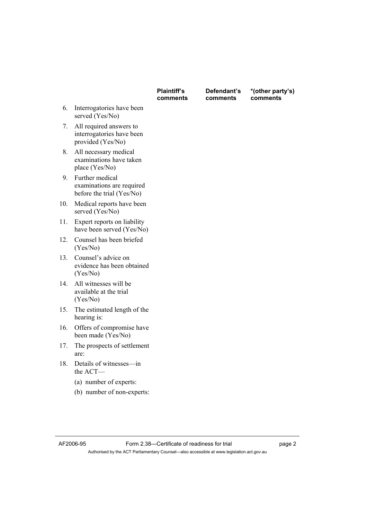|     |                                                                           | <b>Plaintiff's</b><br>comments | Defendant's<br>comments | *(other party's)<br>comments |
|-----|---------------------------------------------------------------------------|--------------------------------|-------------------------|------------------------------|
| 6.  | Interrogatories have been<br>served (Yes/No)                              |                                |                         |                              |
| 7.  | All required answers to<br>interrogatories have been<br>provided (Yes/No) |                                |                         |                              |
| 8.  | All necessary medical<br>examinations have taken<br>place (Yes/No)        |                                |                         |                              |
| 9.  | Further medical<br>examinations are required<br>before the trial (Yes/No) |                                |                         |                              |
| 10. | Medical reports have been<br>served (Yes/No)                              |                                |                         |                              |
| 11. | Expert reports on liability<br>have been served (Yes/No)                  |                                |                         |                              |
| 12. | Counsel has been briefed<br>(Yes/No)                                      |                                |                         |                              |
| 13. | Counsel's advice on<br>evidence has been obtained<br>(Yes/No)             |                                |                         |                              |
| 14. | All witnesses will be<br>available at the trial<br>(Yes/No)               |                                |                         |                              |
| 15. | The estimated length of the<br>hearing is:                                |                                |                         |                              |
| 16. | Offers of compromise have<br>been made (Yes/No)                           |                                |                         |                              |
| 17. | The prospects of settlement<br>are:                                       |                                |                         |                              |
| 18. | Details of witnesses-in<br>the ACT-                                       |                                |                         |                              |
|     | (a) number of experts:                                                    |                                |                         |                              |
|     | (b) number of non-experts:                                                |                                |                         |                              |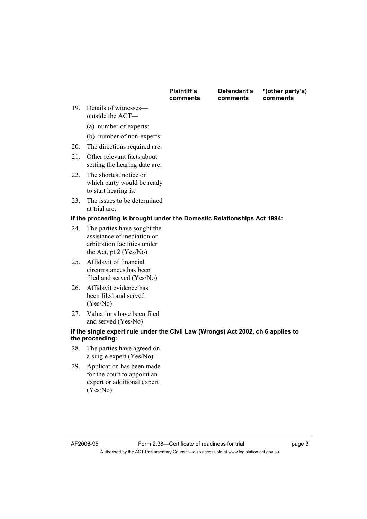| <b>Plaintiff's</b> |  |
|--------------------|--|
| comments           |  |

**Defendant's comments** 

**\*(other party's) comments** 

- 19. Details of witnesses outside the ACT—
	- (a) number of experts:
	- (b) number of non-experts:
- 20. The directions required are:
- 21. Other relevant facts about setting the hearing date are:
- 22. The shortest notice on which party would be ready to start hearing is:
- 23. The issues to be determined at trial are:

### **If the proceeding is brought under the Domestic Relationships Act 1994:**

- 24. The parties have sought the assistance of mediation or arbitration facilities under the Act, pt 2 (Yes/No)
- 25. Affidavit of financial circumstances has been filed and served (Yes/No)
- 26. Affidavit evidence has been filed and served (Yes/No)
- 27. Valuations have been filed and served (Yes/No)

#### **If the single expert rule under the Civil Law (Wrongs) Act 2002, ch 6 applies to the proceeding:**

- 28. The parties have agreed on a single expert (Yes/No)
- 29. Application has been made for the court to appoint an expert or additional expert (Yes/No)